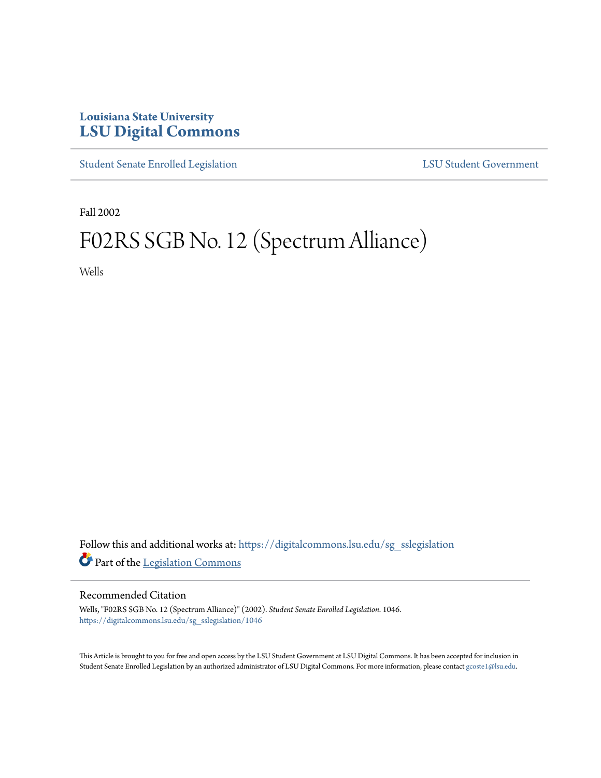## **Louisiana State University [LSU Digital Commons](https://digitalcommons.lsu.edu?utm_source=digitalcommons.lsu.edu%2Fsg_sslegislation%2F1046&utm_medium=PDF&utm_campaign=PDFCoverPages)**

[Student Senate Enrolled Legislation](https://digitalcommons.lsu.edu/sg_sslegislation?utm_source=digitalcommons.lsu.edu%2Fsg_sslegislation%2F1046&utm_medium=PDF&utm_campaign=PDFCoverPages) [LSU Student Government](https://digitalcommons.lsu.edu/sg?utm_source=digitalcommons.lsu.edu%2Fsg_sslegislation%2F1046&utm_medium=PDF&utm_campaign=PDFCoverPages)

Fall 2002

## F02RS SGB No. 12 (Spectrum Alliance)

Wells

Follow this and additional works at: [https://digitalcommons.lsu.edu/sg\\_sslegislation](https://digitalcommons.lsu.edu/sg_sslegislation?utm_source=digitalcommons.lsu.edu%2Fsg_sslegislation%2F1046&utm_medium=PDF&utm_campaign=PDFCoverPages) Part of the [Legislation Commons](http://network.bepress.com/hgg/discipline/859?utm_source=digitalcommons.lsu.edu%2Fsg_sslegislation%2F1046&utm_medium=PDF&utm_campaign=PDFCoverPages)

## Recommended Citation

Wells, "F02RS SGB No. 12 (Spectrum Alliance)" (2002). *Student Senate Enrolled Legislation*. 1046. [https://digitalcommons.lsu.edu/sg\\_sslegislation/1046](https://digitalcommons.lsu.edu/sg_sslegislation/1046?utm_source=digitalcommons.lsu.edu%2Fsg_sslegislation%2F1046&utm_medium=PDF&utm_campaign=PDFCoverPages)

This Article is brought to you for free and open access by the LSU Student Government at LSU Digital Commons. It has been accepted for inclusion in Student Senate Enrolled Legislation by an authorized administrator of LSU Digital Commons. For more information, please contact [gcoste1@lsu.edu.](mailto:gcoste1@lsu.edu)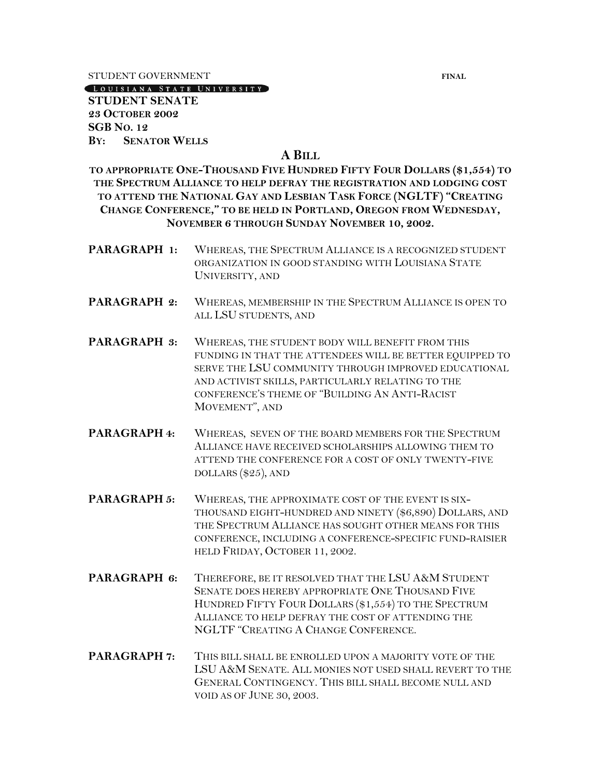STUDENT GOVERNMENT **FINAL** 

LOUISIANA STATE UNIVERSITY

**STUDENT SENATE 23 OCTOBER 2002 SGB NO. 12 BY: SENATOR WELLS**

## **A BILL**

**TO APPROPRIATE ONE-THOUSAND FIVE HUNDRED FIFTY FOUR DOLLARS (\$1,554) TO THE SPECTRUM ALLIANCE TO HELP DEFRAY THE REGISTRATION AND LODGING COST TO ATTEND THE NATIONAL GAY AND LESBIAN TASK FORCE (NGLTF) "CREATING CHANGE CONFERENCE," TO BE HELD IN PORTLAND, OREGON FROM WEDNESDAY, NOVEMBER 6 THROUGH SUNDAY NOVEMBER 10, 2002.**

- **PARAGRAPH 1:** WHEREAS, THE SPECTRUM ALLIANCE IS A RECOGNIZED STUDENT ORGANIZATION IN GOOD STANDING WITH LOUISIANA STATE UNIVERSITY, AND
- **PARAGRAPH 2:** WHEREAS, MEMBERSHIP IN THE SPECTRUM ALLIANCE IS OPEN TO ALL LSU STUDENTS, AND
- **PARAGRAPH 3:** WHEREAS, THE STUDENT BODY WILL BENEFIT FROM THIS FUNDING IN THAT THE ATTENDEES WILL BE BETTER EQUIPPED TO SERVE THE LSU COMMUNITY THROUGH IMPROVED EDUCATIONAL AND ACTIVIST SKILLS, PARTICULARLY RELATING TO THE CONFERENCE'S THEME OF "BUILDING AN ANTI-RACIST MOVEMENT", AND
- **PARAGRAPH 4:** WHEREAS, SEVEN OF THE BOARD MEMBERS FOR THE SPECTRUM ALLIANCE HAVE RECEIVED SCHOLARSHIPS ALLOWING THEM TO ATTEND THE CONFERENCE FOR A COST OF ONLY TWENTY-FIVE DOLLARS (\$25), AND
- **PARAGRAPH 5:** WHEREAS, THE APPROXIMATE COST OF THE EVENT IS SIX-THOUSAND EIGHT-HUNDRED AND NINETY (\$6,890) DOLLARS, AND THE SPECTRUM ALLIANCE HAS SOUGHT OTHER MEANS FOR THIS CONFERENCE, INCLUDING A CONFERENCE-SPECIFIC FUND-RAISIER HELD FRIDAY, OCTOBER 11, 2002.
- **PARAGRAPH 6:** THEREFORE, BE IT RESOLVED THAT THE LSU A&M STUDENT SENATE DOES HEREBY APPROPRIATE ONE THOUSAND FIVE HUNDRED FIFTY FOUR DOLLARS (\$1,554) TO THE SPECTRUM ALLIANCE TO HELP DEFRAY THE COST OF ATTENDING THE NGLTF "CREATING A CHANGE CONFERENCE.
- **PARAGRAPH 7:** THIS BILL SHALL BE ENROLLED UPON A MAJORITY VOTE OF THE LSU A&M SENATE. ALL MONIES NOT USED SHALL REVERT TO THE GENERAL CONTINGENCY. THIS BILL SHALL BECOME NULL AND VOID AS OF JUNE 30, 2003.